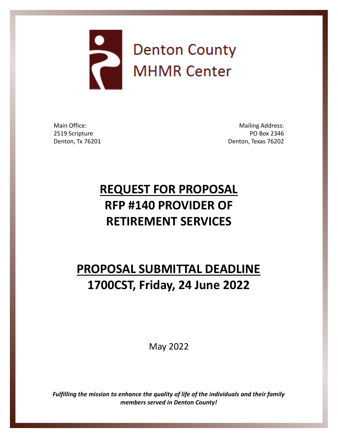

Main Office: 2519 Scripture Denton, Tx 76201

Mailing Address: PO Box 2346 Denton, Texas 76202

# **REQUEST FOR PROPOSAL RFP #140 PROVIDER OF RETIREMENT SERVICES**

# **PROPOSAL SUBMITTAL DEADLINE 1700CST, Friday, 24 June 2022**

May 2022

*Fulfilling the mission to enhance the quality of life of the individuals and their family members served in Denton County!*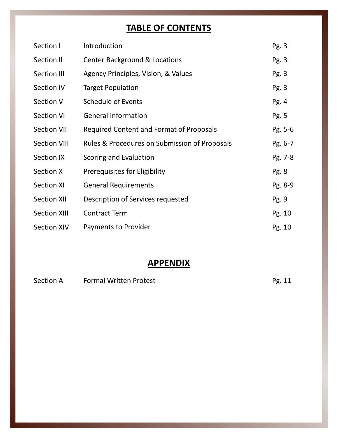## **TABLE OF CONTENTS**

| Section I           | Introduction                                  | Pg. 3   |
|---------------------|-----------------------------------------------|---------|
| Section II          | <b>Center Background &amp; Locations</b>      | Pg. 3   |
| Section III         | Agency Principles, Vision, & Values           | Pg. 3   |
| <b>Section IV</b>   | <b>Target Population</b>                      | Pg. 3   |
| Section V           | Schedule of Events                            | Pg. 4   |
| <b>Section VI</b>   | <b>General Information</b>                    | Pg. 5   |
| <b>Section VII</b>  | Required Content and Format of Proposals      | Pg. 5-6 |
| <b>Section VIII</b> | Rules & Procedures on Submission of Proposals | Pg. 6-7 |
| Section IX          | Scoring and Evaluation                        | Pg. 7-8 |
| Section X           | Prerequisites for Eligibility                 | Pg. 8   |
| <b>Section XI</b>   | <b>General Requirements</b>                   | Pg. 8-9 |
| <b>Section XII</b>  | Description of Services requested             | Pg. 9   |
| <b>Section XIII</b> | <b>Contract Term</b>                          | Pg. 10  |
| <b>Section XIV</b>  | Payments to Provider                          | Pg. 10  |

## **APPENDIX**

| Section A | <b>Formal Written Protest</b> | Pg. 11 |
|-----------|-------------------------------|--------|
|-----------|-------------------------------|--------|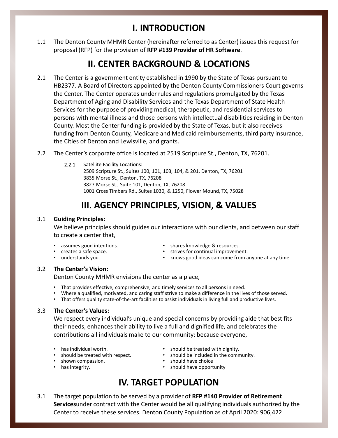### **I. INTRODUCTION**

The Denton County MHMR Center (hereinafter referred to as Center) issues this request for proposal (RFP) for the provision of **RFP #139 Provider of HR Software**. 1.1

#### **II. CENTER BACKGROUND & LOCATIONS**

- The Center is a government entity established in 1990 by the State of Texas pursuant to HB2377. A Board of Directors appointed by the Denton County Commissioners Court governs the Center. The Center operates under rules and regulations promulgated by the Texas Department of Aging and Disability Services and the Texas Department of State Health Services for the purpose of providing medical, therapeutic, and residential services to persons with mental illness and those persons with intellectual disabilities residing in Denton County. Most the Center funding is provided by the State of Texas, but it also receives funding from Denton County, Medicare and Medicaid reimbursements, third party insurance, the Cities of Denton and Lewisville, and grants. 2.1
- 2.2 The Center's corporate office is located at 2519 Scripture St., Denton, TX, 76201.
	- Satellite Facility Locations: 2509 Scripture St., Suites 100, 101, 103, 104, & 201, Denton, TX, 76201 3835 Morse St., Denton, TX, 76208 3827 Morse St., Suite 101, Denton, TX, 76208 1001 Cross Timbers Rd., Suites 1030, & 1250, Flower Mound, TX, 75028 2.2.1

## **III. AGENCY PRINCIPLES, VISION, & VALUES**

#### **Guiding Principles:** 3.1

We believe principles should guides our interactions with our clients, and between our staff to create a center that,

- assumes good intentions.
- creates a safe space.
- understands you.
- shares knowledge & resources.
- strives for continual improvement.
- knows good ideas can come from anyone at any time.

#### **The Center's Vision:** 3.2

Denton County MHMR envisions the center as a place,

- That provides effective, comprehensive, and timely services to all persons in need.
- Where a qualified, motivated, and caring staff strive to make a difference in the lives of those served.
- That offers quality state-of-the-art facilities to assist individuals in living full and productive lives.

#### **The Center's Values:** 3.3

We respect every individual's unique and special concerns by providing aide that best fits their needs, enhances their ability to live a full and dignified life, and celebrates the contributions all individuals make to our community; because everyone,

- has individual worth.
- should be treated with respect.
- shown compassion.
- has integrity.
- should be treated with dignity.
- should be included in the community.
- should have choice
- should have opportunity

## **IV. TARGET POPULATION**

The target population to be served by a provider of **RFP #140 Provider of Retirement Services**under contract with the Center would be all qualifying individuals authorized by the Center to receive these services. Denton County Population as of April 2020: 906,422 3.1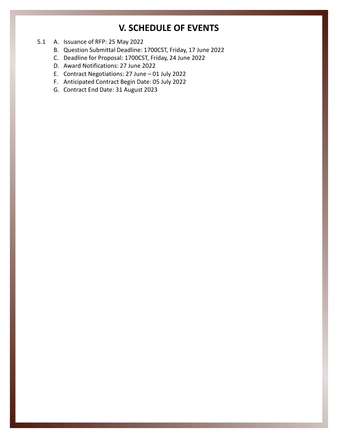#### **V. SCHEDULE OF EVENTS**

- 5.1 A. Issuance of RFP: 25 May 2022
	- B. Question Submittal Deadline: 1700CST, Friday, 17 June 2022
	- C. Deadline for Proposal: 1700CST, Friday, 24 June 2022
	- D. Award Notifications: 27 June 2022
	- E. Contract Negotiations: 27 June 01 July 2022
	- F. Anticipated Contract Begin Date: 05 July 2022
	- G. Contract End Date: 31 August 2023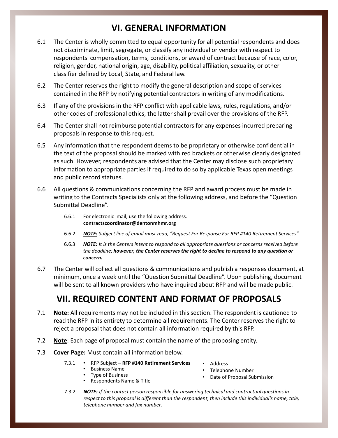## **VI. GENERAL INFORMATION**

- 6.1 The Center is wholly committed to equal opportunity for all potential respondents and does not discriminate, limit, segregate, or classify any individual or vendor with respect to respondents' compensation, terms, conditions, or award of contract because of race, color, religion, gender, national origin, age, disability, political affiliation, sexuality, or other classifier defined by Local, State, and Federal law.
- The Center reserves the right to modify the general description and scope of services contained in the RFP by notifying potential contractors in writing of any modifications. 6.2
- If any of the provisions in the RFP conflict with applicable laws, rules, regulations, and/or other codes of professional ethics, the latter shall prevail over the provisions of the RFP. 6.3
- The Center shall not reimburse potential contractors for any expenses incurred preparing proposals in response to this request. 6.4
- Any information that the respondent deems to be proprietary or otherwise confidential in the text of the proposal should be marked with red brackets or otherwise clearly designated as such. However, respondents are advised that the Center may disclose such proprietary information to appropriate parties if required to do so by applicable Texas open meetings and public record statues. 6.5
- All questions & communications concerning the RFP and award process must be made in writing to the Contracts Specialists only at the following address, and before the "Question Submittal Deadline". 6.6
	- For electronic mail, use the following address. **contractscoordinator@dentonmhmr.org** 6.6.1
	- 6.6.2 *NOTE: Subject line of email must read, "Request For Response For RFP #140 Retirement Services".*
	- *NOTE: It is the Centers intent to respond to all appropriate questions or concerns received before the deadline; however, the Center reserves the right to decline to respond to any question or concern.*  6.6.3
- The Center will collect all questions & communications and publish a responses document, at minimum, once a week until the "Question Submittal Deadline". Upon publishing, document will be sent to all known providers who have inquired about RFP and will be made public. 6.7

## **VII. REQUIRED CONTENT AND FORMAT OF PROPOSALS**

- **Note:** All requirements may not be included in this section. The respondent is cautioned to read the RFP in its entirety to determine all requirements. The Center reserves the right to reject a proposal that does not contain all information required by this RFP. 7.1
- 7.2 **Note**: Each page of proposal must contain the name of the proposing entity.
- 7.3 **Cover Page:** Must contain all information below.
	- RFP Subject **RFP #140 Retirement Services** 7.3.1
		- Business Name
		- Type of Business • Respondents Name & Title
- Address
- Telephone Number
- Date of Proposal Submission
- *NOTE: If the contact person responsible for answering technical and contractual questions in respect to this proposal is different than the respondent, then include this individual's name, title, telephone number and fax number.* 7.3.2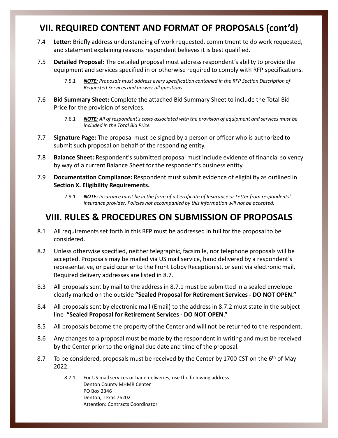## **VII. REQUIRED CONTENT AND FORMAT OF PROPOSALS (cont'd)**

- 7.4 **Letter:** Briefly address understanding of work requested, commitment to do work requested, and statement explaining reasons respondent believes it is best qualified.
- 7.5 **Detailed Proposal:** The detailed proposal must address respondent's ability to provide the equipment and services specified in or otherwise required to comply with RFP specifications.
	- *NOTE: Proposals must address every specification contained in the RFP Section Description of Requested Services and answer all questions.* 7.5.1
- 7.6 **Bid Summary Sheet:** Complete the attached Bid Summary Sheet to include the Total Bid Price for the provision of services.
	- *NOTE: All of respondent's costs associated with the provision of equipment and services must be included in the Total Bid Price.* 7.6.1
- 7.7 **Signature Page:** The proposal must be signed by a person or officer who is authorized to submit such proposal on behalf of the responding entity.
- 7.8 **Balance Sheet:** Respondent's submitted proposal must include evidence of financial solvency by way of a current Balance Sheet for the respondent's business entity.
- 7.9 **Documentation Compliance:** Respondent must submit evidence of eligibility as outlined in **Section X. Eligibility Requirements.** 
	- *NOTE: Insurance must be in the form of a Certificate of Insurance or Letter from respondents' insurance provider. Policies not accompanied by this information will not be accepted.*  7.9.1

### **VIII. RULES & PROCEDURES ON SUBMISSION OF PROPOSALS**

- 8.1 All requirements set forth in this RFP must be addressed in full for the proposal to be considered.
- 8.2 Unless otherwise specified, neither telegraphic, facsimile, nor telephone proposals will be accepted. Proposals may be mailed via US mail service, hand delivered by a respondent's representative, or paid courier to the Front Lobby Receptionist, or sent via electronic mail. Required delivery addresses are listed in 8.7.
- 8.3 All proposals sent by mail to the address in 8.7.1 must be submitted in a sealed envelope clearly marked on the outside **"Sealed Proposal for Retirement Services - DO NOT OPEN."**
- 8.4 All proposals sent by electronic mail (Email) to the address in 8.7.2 must state in the subject line **"Sealed Proposal for Retirement Services - DO NOT OPEN."**
- 8.5 All proposals become the property of the Center and will not be returned to the respondent.
- 8.6 Any changes to a proposal must be made by the respondent in writing and must be received by the Center prior to the original due date and time of the proposal.
- 8.7 To be considered, proposals must be received by the Center by 1700 CST on the  $6<sup>th</sup>$  of May 2022.
	- For US mail services or hand deliveries, use the following address. Denton County MHMR Center PO Box 2346 Denton, Texas 76202 Attention: Contracts Coordinator 8.7.1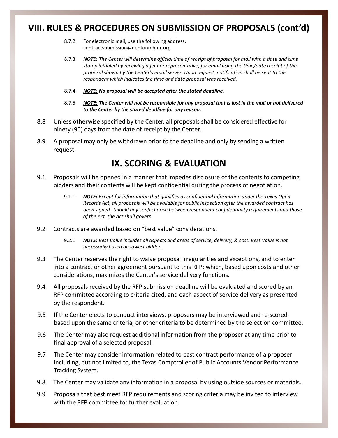#### **VIII. RULES & PROCEDURES ON SUBMISSION OF PROPOSALS (cont'd)**

- For electronic mail, use the following address. contractsubmission@dentonmhmr.org 8.7.2
- *NOTE: The Center will determine official time of receipt of proposal for mail with a date and time stamp initialed by receiving agent or representative; for email using the time/date receipt of the proposal shown by the Center's email server. Upon request, notification shall be sent to the respondent which indicates the time and date proposal was received.* 8.7.3
- 8.7.4 *NOTE: No proposal will be accepted after the stated deadline.*
- *NOTE: The Center will not be responsible for any proposal that is lost in the mail or not delivered*  8.7.5 *to the Center by the stated deadline for any reason.*
- 8.8 Unless otherwise specified by the Center, all proposals shall be considered effective for ninety (90) days from the date of receipt by the Center.
- 8.9 A proposal may only be withdrawn prior to the deadline and only by sending a written request.

#### **IX. SCORING & EVALUATION**

- 9.1 Proposals will be opened in a manner that impedes disclosure of the contents to competing bidders and their contents will be kept confidential during the process of negotiation.
	- *NOTE: Except for information that qualifies as confidential information under the Texas Open Records Act, all proposals will be available for public inspection after the awarded contract has been signed. Should any conflict arise between respondent confidentiality requirements and those of the Act, the Act shall govern.* 9.1.1
- Contracts are awarded based on "best value" considerations. 9.2
	- *NOTE: Best Value includes all aspects and areas of service, delivery, & cost. Best Value is not necessarily based on lowest bidder.* 9.2.1
- 9.3 The Center reserves the right to waive proposal irregularities and exceptions, and to enter into a contract or other agreement pursuant to this RFP; which, based upon costs and other considerations, maximizes the Center's service delivery functions.
- 9.4 All proposals received by the RFP submission deadline will be evaluated and scored by an RFP committee according to criteria cited, and each aspect of service delivery as presented by the respondent.
- 9.5 If the Center elects to conduct interviews, proposers may be interviewed and re-scored based upon the same criteria, or other criteria to be determined by the selection committee.
- 9.6 The Center may also request additional information from the proposer at any time prior to final approval of a selected proposal.
- 9.7 The Center may consider information related to past contract performance of a proposer including, but not limited to, the Texas Comptroller of Public Accounts Vendor Performance Tracking System.
- 9.8 The Center may validate any information in a proposal by using outside sources or materials.
- 9.9 Proposals that best meet RFP requirements and scoring criteria may be invited to interview with the RFP committee for further evaluation.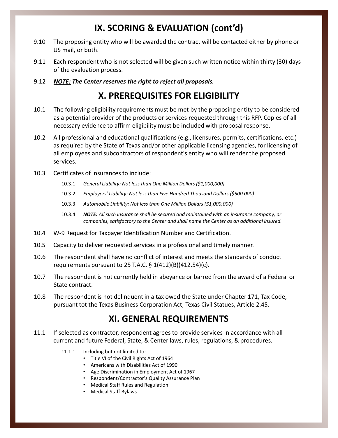## **IX. SCORING & EVALUATION (cont'd)**

- 9.10 The proposing entity who will be awarded the contract will be contacted either by phone or US mail, or both.
- 9.11 Each respondent who is not selected will be given such written notice within thirty (30) days of the evaluation process.
- 9.12 *NOTE: The Center reserves the right to reject all proposals.*

#### **X. PREREQUISITES FOR ELIGIBILITY**

- The following eligibility requirements must be met by the proposing entity to be considered as a potential provider of the products or services requested through this RFP. Copies of all necessary evidence to affirm eligibility must be included with proposal response. 10.1
- 10.2 All professional and educational qualifications (e.g., licensures, permits, certifications, etc.) as required by the State of Texas and/or other applicable licensing agencies, for licensing of all employees and subcontractors of respondent's entity who will render the proposed services.
- 10.3 Certificates of insurances to include:
	- 10.3.1 *General Liability: Not less than One Million Dollars (\$1,000,000)*
	- 10.3.2 *Employers' Liability: Not less than Five Hundred Thousand Dollars (\$500,000)*
	- 10.3.3 *Automobile Liability: Not less than One Million Dollars (\$1,000,000)*
	- *NOTE: All such insurance shall be secured and maintained with an insurance company, or companies, satisfactory to the Center and shall name the Center as an additional insured.* 10.3.4
- 10.4 W-9 Request for Taxpayer Identification Number and Certification.
- 10.5 Capacity to deliver requested services in a professional and timely manner.
- 10.6 The respondent shall have no conflict of interest and meets the standards of conduct requirements pursuant to 25 T.A.C. § 1(412)(B)(412.54)(c).
- The respondent is not currently held in abeyance or barred from the award of a Federal or State contract. 10.7
- The respondent is not delinquent in a tax owed the State under Chapter 171, Tax Code, pursuant tot the Texas Business Corporation Act, Texas Civil Statues, Article 2.45. 10.8

#### **XI. GENERAL REQUIREMENTS**

- If selected as contractor, respondent agrees to provide services in accordance with all current and future Federal, State, & Center laws, rules, regulations, & procedures. 11.1
	- 11.1.1 Including but not limited to:
		- Title VI of the Civil Rights Act of 1964
		- Americans with Disabilities Act of 1990
		- Age Discrimination in Employment Act of 1967
		- Respondent/Contractor's Quality Assurance Plan
		- Medical Staff Rules and Regulation
		- Medical Staff Bylaws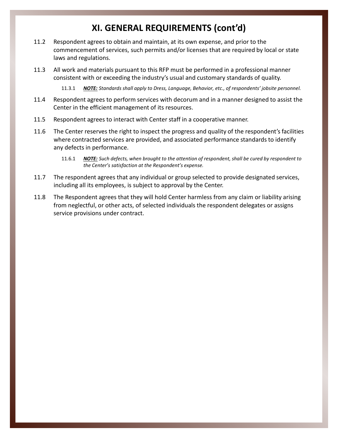## **XI. GENERAL REQUIREMENTS (cont'd)**

- Respondent agrees to obtain and maintain, at its own expense, and prior to the commencement of services, such permits and/or licenses that are required by local or state laws and regulations. 11.2
- All work and materials pursuant to this RFP must be performed in a professional manner consistent with or exceeding the industry's usual and customary standards of quality. 11.3

11.3.1 *NOTE: Standards shall apply to Dress, Language, Behavior, etc., of respondents' jobsite personnel.*

- 11.4 Respondent agrees to perform services with decorum and in a manner designed to assist the Center in the efficient management of its resources.
- 11.5 Respondent agrees to interact with Center staff in a cooperative manner.
- 11.6 The Center reserves the right to inspect the progress and quality of the respondent's facilities where contracted services are provided, and associated performance standards to identify any defects in performance.
	- *NOTE: Such defects, when brought to the attention of respondent, shall be cured by respondent to the Center's satisfaction at the Respondent's expense.* 11.6.1
- 11.7 The respondent agrees that any individual or group selected to provide designated services, including all its employees, is subject to approval by the Center.
- 11.8 The Respondent agrees that they will hold Center harmless from any claim or liability arising from neglectful, or other acts, of selected individuals the respondent delegates or assigns service provisions under contract.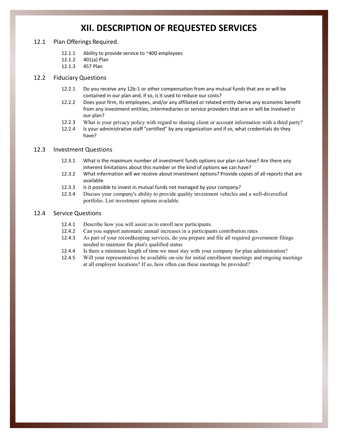#### **XII. DESCRIPTION OF REQUESTED SERVICES**

#### 12.1 Plan Offerings Required.

- Ability to provide service to ~400 employees 12.1.1
- 401(a) Plan 12.1.2
- 457 Plan 12.1.3

#### 12.2 Fiduciary Questions

- Do you receive any 12b-1 or other compensation from any mutual funds that are or will be contained in our plan and, if so, is it used to reduce our costs? 12.2.1
- Does your firm, its employees, and/or any affiliated or related entity derive any economic benefit from any investment entities, intermediaries or service providers that are or will be involved in our plan? 12.2.2
- What is your privacy policy with regard to sharing client or account information with a third party? 12.2.3
- Is your administrative staff "certified" by any organization and if so, what credentials do they have? 12.2.4

#### 12.3 Investment Questions

- What is the maximum number of investment funds options our plan can have? Are there any inherent limitations about this number or the kind of options we can have? 12.3.1
- What information will we receive about investment options? Provide copies of all reports that are available. 12.3.2
- Is it possible to invest in mutual funds not managed by your company? 12.3.3
- Discuss your company's ability to provide quality investment vehicles and a well-diversified portfolio. List investment options available. 12.3.4

#### 12.4 Service Questions

- Describe how you will assist us to enroll new participants. 12.4.1
- Can you support automatic annual increases in a participants contribution rates 12.4.2
- As part of your recordkeeping services, do you prepare and file all required government filings needed to maintain the plan's qualified status 12.4.3
- Is there a minimum length of time we must stay with your company for plan administration? 12.4.4
- Will your representatives be available on-site for initial enrollment meetings and ongoing meetings at all employer locations? If so, how often can these meetings be provided? 12.4.5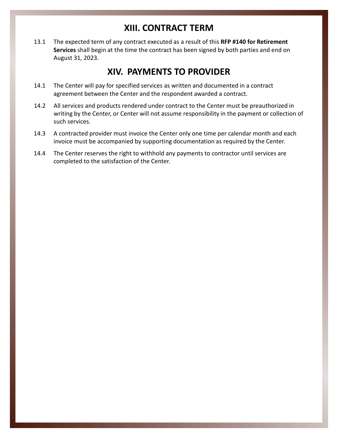#### **XIII. CONTRACT TERM**

The expected term of any contract executed as a result of this **RFP #140 for Retirement Services** shall begin at the time the contract has been signed by both parties and end on August 31, 2023. 13.1

#### **XIV. PAYMENTS TO PROVIDER**

- The Center will pay for specified services as written and documented in a contract agreement between the Center and the respondent awarded a contract. 14.1
- All services and products rendered under contract to the Center must be preauthorized in writing by the Center, or Center will not assume responsibility in the payment or collection of such services. 14.2
- A contracted provider must invoice the Center only one time per calendar month and each invoice must be accompanied by supporting documentation as required by the Center. 14.3
- The Center reserves the right to withhold any payments to contractor until services are completed to the satisfaction of the Center. 14.4